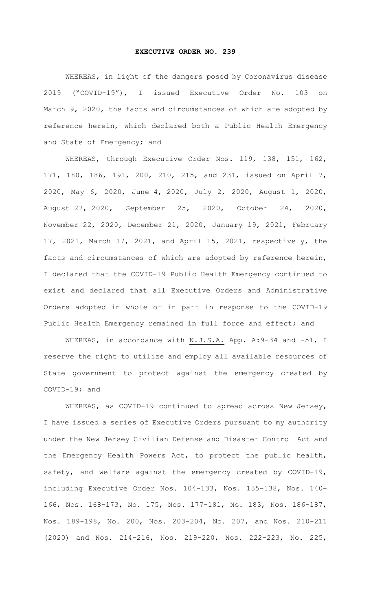## **EXECUTIVE ORDER NO. 239**

WHEREAS, in light of the dangers posed by Coronavirus disease 2019 ("COVID-19"), I issued Executive Order No. 103 on March 9, 2020, the facts and circumstances of which are adopted by reference herein, which declared both a Public Health Emergency and State of Emergency; and

WHEREAS, through Executive Order Nos. 119, 138, 151, 162, 171, 180, 186, 191, 200, 210, 215, and 231, issued on April 7, 2020, May 6, 2020, June 4, 2020, July 2, 2020, August 1, 2020, August 27, 2020, September 25, 2020, October 24, 2020, November 22, 2020, December 21, 2020, January 19, 2021, February 17, 2021, March 17, 2021, and April 15, 2021, respectively, the facts and circumstances of which are adopted by reference herein, I declared that the COVID-19 Public Health Emergency continued to exist and declared that all Executive Orders and Administrative Orders adopted in whole or in part in response to the COVID-19 Public Health Emergency remained in full force and effect; and

WHEREAS, in accordance with N.J.S.A. App. A: 9-34 and -51, I reserve the right to utilize and employ all available resources of State government to protect against the emergency created by COVID-19; and

WHEREAS, as COVID-19 continued to spread across New Jersey, I have issued a series of Executive Orders pursuant to my authority under the New Jersey Civilian Defense and Disaster Control Act and the Emergency Health Powers Act, to protect the public health, safety, and welfare against the emergency created by COVID-19, including Executive Order Nos. 104-133, Nos. 135-138, Nos. 140- 166, Nos. 168-173, No. 175, Nos. 177-181, No. 183, Nos. 186-187, Nos. 189-198, No. 200, Nos. 203-204, No. 207, and Nos. 210-211 (2020) and Nos. 214-216, Nos. 219-220, Nos. 222-223, No. 225,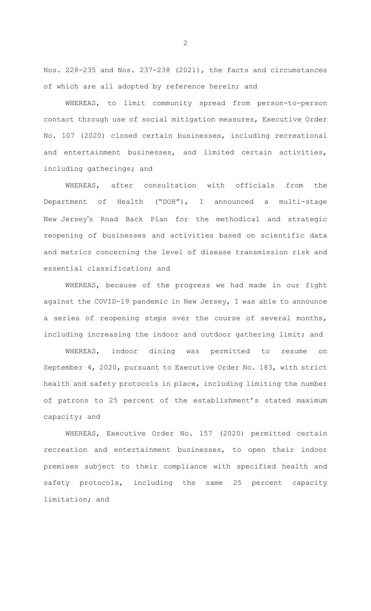Nos. 228-235 and Nos. 237-238 (2021), the facts and circumstances of which are all adopted by reference herein; and

WHEREAS, to limit community spread from person-to-person contact through use of social mitigation measures, Executive Order No. 107 (2020) closed certain businesses, including recreational and entertainment businesses, and limited certain activities, including gatherings; and

WHEREAS, after consultation with officials from the Department of Health ("DOH"), I announced a multi-stage New Jersey's Road Back Plan for the methodical and strategic reopening of businesses and activities based on scientific data and metrics concerning the level of disease transmission risk and essential classification; and

WHEREAS, because of the progress we had made in our fight against the COVID-19 pandemic in New Jersey, I was able to announce a series of reopening steps over the course of several months, including increasing the indoor and outdoor gathering limit; and

WHEREAS, indoor dining was permitted to resume on September 4, 2020, pursuant to Executive Order No. 183, with strict health and safety protocols in place, including limiting the number of patrons to 25 percent of the establishment's stated maximum capacity; and

WHEREAS, Executive Order No. 157 (2020) permitted certain recreation and entertainment businesses, to open their indoor premises subject to their compliance with specified health and safety protocols, including the same 25 percent capacity limitation; and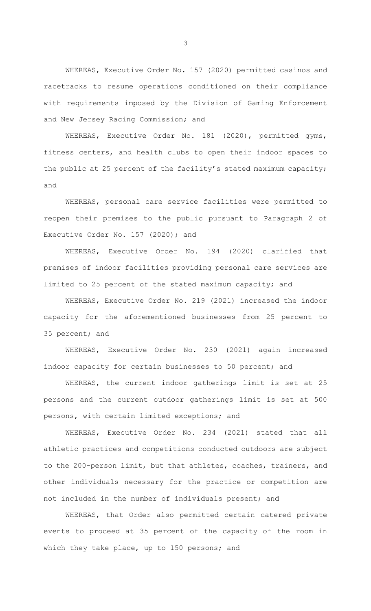WHEREAS, Executive Order No. 157 (2020) permitted casinos and racetracks to resume operations conditioned on their compliance with requirements imposed by the Division of Gaming Enforcement and New Jersey Racing Commission; and

WHEREAS, Executive Order No. 181 (2020), permitted gyms, fitness centers, and health clubs to open their indoor spaces to the public at 25 percent of the facility's stated maximum capacity; and

WHEREAS, personal care service facilities were permitted to reopen their premises to the public pursuant to Paragraph 2 of Executive Order No. 157 (2020); and

WHEREAS, Executive Order No. 194 (2020) clarified that premises of indoor facilities providing personal care services are limited to 25 percent of the stated maximum capacity; and

WHEREAS, Executive Order No. 219 (2021) increased the indoor capacity for the aforementioned businesses from 25 percent to 35 percent; and

WHEREAS, Executive Order No. 230 (2021) again increased indoor capacity for certain businesses to 50 percent; and

WHEREAS, the current indoor gatherings limit is set at 25 persons and the current outdoor gatherings limit is set at 500 persons, with certain limited exceptions; and

WHEREAS, Executive Order No. 234 (2021) stated that all athletic practices and competitions conducted outdoors are subject to the 200-person limit, but that athletes, coaches, trainers, and other individuals necessary for the practice or competition are not included in the number of individuals present; and

WHEREAS, that Order also permitted certain catered private events to proceed at 35 percent of the capacity of the room in which they take place, up to 150 persons; and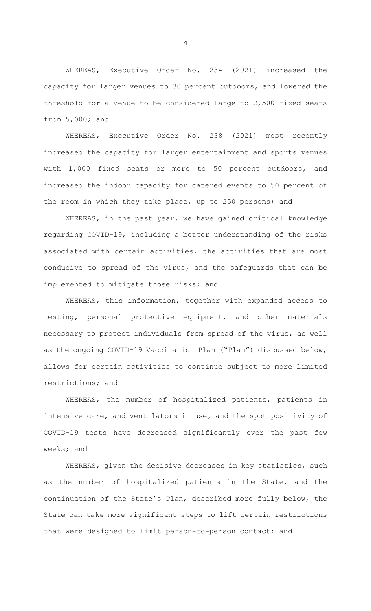WHEREAS, Executive Order No. 234 (2021) increased the capacity for larger venues to 30 percent outdoors, and lowered the threshold for a venue to be considered large to 2,500 fixed seats from 5,000; and

WHEREAS, Executive Order No. 238 (2021) most recently increased the capacity for larger entertainment and sports venues with 1,000 fixed seats or more to 50 percent outdoors, and increased the indoor capacity for catered events to 50 percent of the room in which they take place, up to 250 persons; and

WHEREAS, in the past year, we have gained critical knowledge regarding COVID-19, including a better understanding of the risks associated with certain activities, the activities that are most conducive to spread of the virus, and the safeguards that can be implemented to mitigate those risks; and

WHEREAS, this information, together with expanded access to testing, personal protective equipment, and other materials necessary to protect individuals from spread of the virus, as well as the ongoing COVID-19 Vaccination Plan ("Plan") discussed below, allows for certain activities to continue subject to more limited restrictions; and

WHEREAS, the number of hospitalized patients, patients in intensive care, and ventilators in use, and the spot positivity of COVID-19 tests have decreased significantly over the past few weeks; and

WHEREAS, given the decisive decreases in key statistics, such as the number of hospitalized patients in the State, and the continuation of the State's Plan, described more fully below, the State can take more significant steps to lift certain restrictions that were designed to limit person-to-person contact; and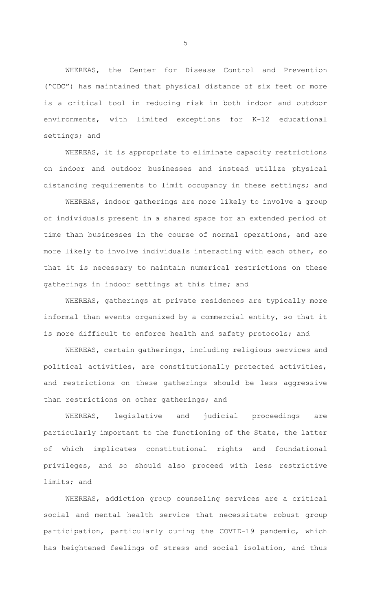WHEREAS, the Center for Disease Control and Prevention ("CDC") has maintained that physical distance of six feet or more is a critical tool in reducing risk in both indoor and outdoor environments, with limited exceptions for K-12 educational settings; and

WHEREAS, it is appropriate to eliminate capacity restrictions on indoor and outdoor businesses and instead utilize physical distancing requirements to limit occupancy in these settings; and

WHEREAS, indoor gatherings are more likely to involve a group of individuals present in a shared space for an extended period of time than businesses in the course of normal operations, and are more likely to involve individuals interacting with each other, so that it is necessary to maintain numerical restrictions on these gatherings in indoor settings at this time; and

WHEREAS, gatherings at private residences are typically more informal than events organized by a commercial entity, so that it is more difficult to enforce health and safety protocols; and

WHEREAS, certain gatherings, including religious services and political activities, are constitutionally protected activities, and restrictions on these gatherings should be less aggressive than restrictions on other gatherings; and

WHEREAS, legislative and judicial proceedings are particularly important to the functioning of the State, the latter of which implicates constitutional rights and foundational privileges, and so should also proceed with less restrictive limits; and

WHEREAS, addiction group counseling services are a critical social and mental health service that necessitate robust group participation, particularly during the COVID-19 pandemic, which has heightened feelings of stress and social isolation, and thus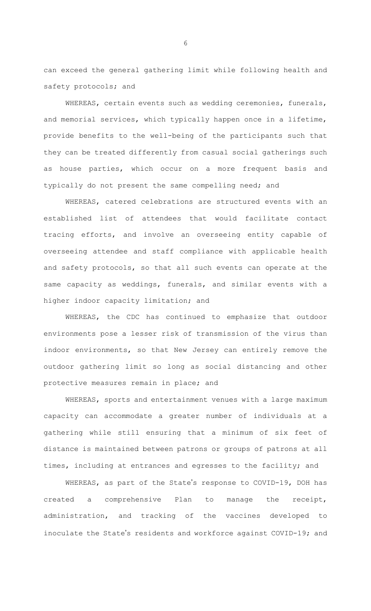can exceed the general gathering limit while following health and safety protocols; and

WHEREAS, certain events such as wedding ceremonies, funerals, and memorial services, which typically happen once in a lifetime, provide benefits to the well-being of the participants such that they can be treated differently from casual social gatherings such as house parties, which occur on a more frequent basis and typically do not present the same compelling need; and

WHEREAS, catered celebrations are structured events with an established list of attendees that would facilitate contact tracing efforts, and involve an overseeing entity capable of overseeing attendee and staff compliance with applicable health and safety protocols, so that all such events can operate at the same capacity as weddings, funerals, and similar events with a higher indoor capacity limitation; and

WHEREAS, the CDC has continued to emphasize that outdoor environments pose a lesser risk of transmission of the virus than indoor environments, so that New Jersey can entirely remove the outdoor gathering limit so long as social distancing and other protective measures remain in place; and

WHEREAS, sports and entertainment venues with a large maximum capacity can accommodate a greater number of individuals at a gathering while still ensuring that a minimum of six feet of distance is maintained between patrons or groups of patrons at all times, including at entrances and egresses to the facility; and

WHEREAS, as part of the State's response to COVID-19, DOH has created a comprehensive Plan to manage the receipt, administration, and tracking of the vaccines developed to inoculate the State's residents and workforce against COVID-19; and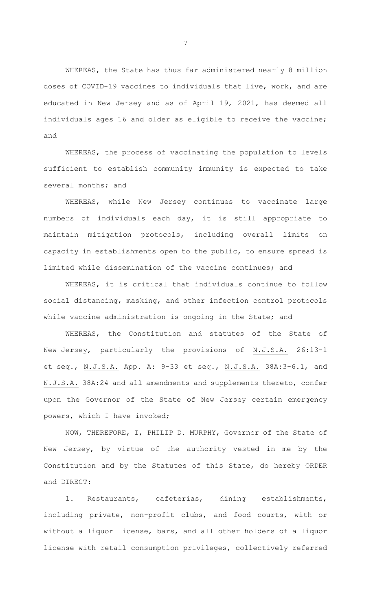WHEREAS, the State has thus far administered nearly 8 million doses of COVID-19 vaccines to individuals that live, work, and are educated in New Jersey and as of April 19, 2021, has deemed all individuals ages 16 and older as eligible to receive the vaccine; and

WHEREAS, the process of vaccinating the population to levels sufficient to establish community immunity is expected to take several months; and

WHEREAS, while New Jersey continues to vaccinate large numbers of individuals each day, it is still appropriate to maintain mitigation protocols, including overall limits on capacity in establishments open to the public, to ensure spread is limited while dissemination of the vaccine continues; and

WHEREAS, it is critical that individuals continue to follow social distancing, masking, and other infection control protocols while vaccine administration is ongoing in the State; and

WHEREAS, the Constitution and statutes of the State of New Jersey, particularly the provisions of N.J.S.A. 26:13-1 et seq., N.J.S.A. App. A: 9-33 et seq., N.J.S.A. 38A:3-6.1, and N.J.S.A. 38A:24 and all amendments and supplements thereto, confer upon the Governor of the State of New Jersey certain emergency powers, which I have invoked;

NOW, THEREFORE, I, PHILIP D. MURPHY, Governor of the State of New Jersey, by virtue of the authority vested in me by the Constitution and by the Statutes of this State, do hereby ORDER and DIRECT:

1. Restaurants, cafeterias, dining establishments, including private, non-profit clubs, and food courts, with or without a liquor license, bars, and all other holders of a liquor license with retail consumption privileges, collectively referred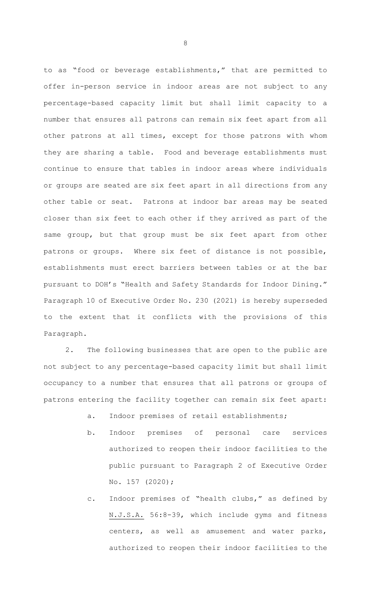to as "food or beverage establishments," that are permitted to offer in-person service in indoor areas are not subject to any percentage-based capacity limit but shall limit capacity to a number that ensures all patrons can remain six feet apart from all other patrons at all times, except for those patrons with whom they are sharing a table. Food and beverage establishments must continue to ensure that tables in indoor areas where individuals or groups are seated are six feet apart in all directions from any other table or seat. Patrons at indoor bar areas may be seated closer than six feet to each other if they arrived as part of the same group, but that group must be six feet apart from other patrons or groups. Where six feet of distance is not possible, establishments must erect barriers between tables or at the bar pursuant to DOH's "Health and Safety Standards for Indoor Dining." Paragraph 10 of Executive Order No. 230 (2021) is hereby superseded to the extent that it conflicts with the provisions of this Paragraph.

2. The following businesses that are open to the public are not subject to any percentage-based capacity limit but shall limit occupancy to a number that ensures that all patrons or groups of patrons entering the facility together can remain six feet apart:

- a. Indoor premises of retail establishments;
- b. Indoor premises of personal care services authorized to reopen their indoor facilities to the public pursuant to Paragraph 2 of Executive Order No. 157 (2020);
- c. Indoor premises of "health clubs," as defined by N.J.S.A. 56:8-39, which include gyms and fitness centers, as well as amusement and water parks, authorized to reopen their indoor facilities to the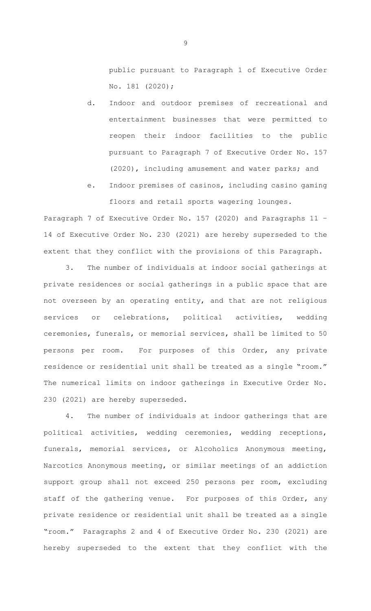public pursuant to Paragraph 1 of Executive Order No. 181 (2020);

- d. Indoor and outdoor premises of recreational and entertainment businesses that were permitted to reopen their indoor facilities to the public pursuant to Paragraph 7 of Executive Order No. 157 (2020), including amusement and water parks; and
- e. Indoor premises of casinos, including casino gaming floors and retail sports wagering lounges.

Paragraph 7 of Executive Order No. 157 (2020) and Paragraphs 11 – 14 of Executive Order No. 230 (2021) are hereby superseded to the extent that they conflict with the provisions of this Paragraph.

3. The number of individuals at indoor social gatherings at private residences or social gatherings in a public space that are not overseen by an operating entity, and that are not religious services or celebrations, political activities, wedding ceremonies, funerals, or memorial services, shall be limited to 50 persons per room. For purposes of this Order, any private residence or residential unit shall be treated as a single "room." The numerical limits on indoor gatherings in Executive Order No. 230 (2021) are hereby superseded.

4. The number of individuals at indoor gatherings that are political activities, wedding ceremonies, wedding receptions, funerals, memorial services, or Alcoholics Anonymous meeting, Narcotics Anonymous meeting, or similar meetings of an addiction support group shall not exceed 250 persons per room, excluding staff of the gathering venue. For purposes of this Order, any private residence or residential unit shall be treated as a single "room." Paragraphs 2 and 4 of Executive Order No. 230 (2021) are hereby superseded to the extent that they conflict with the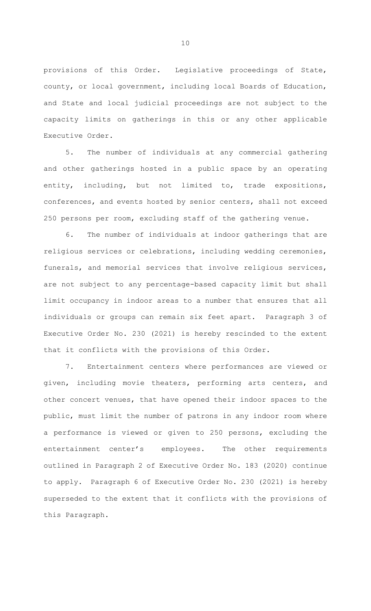provisions of this Order. Legislative proceedings of State, county, or local government, including local Boards of Education, and State and local judicial proceedings are not subject to the capacity limits on gatherings in this or any other applicable Executive Order.

5. The number of individuals at any commercial gathering and other gatherings hosted in a public space by an operating entity, including, but not limited to, trade expositions, conferences, and events hosted by senior centers, shall not exceed 250 persons per room, excluding staff of the gathering venue.

6. The number of individuals at indoor gatherings that are religious services or celebrations, including wedding ceremonies, funerals, and memorial services that involve religious services, are not subject to any percentage-based capacity limit but shall limit occupancy in indoor areas to a number that ensures that all individuals or groups can remain six feet apart. Paragraph 3 of Executive Order No. 230 (2021) is hereby rescinded to the extent that it conflicts with the provisions of this Order.

7. Entertainment centers where performances are viewed or given, including movie theaters, performing arts centers, and other concert venues, that have opened their indoor spaces to the public, must limit the number of patrons in any indoor room where a performance is viewed or given to 250 persons, excluding the entertainment center's employees. The other requirements outlined in Paragraph 2 of Executive Order No. 183 (2020) continue to apply. Paragraph 6 of Executive Order No. 230 (2021) is hereby superseded to the extent that it conflicts with the provisions of this Paragraph.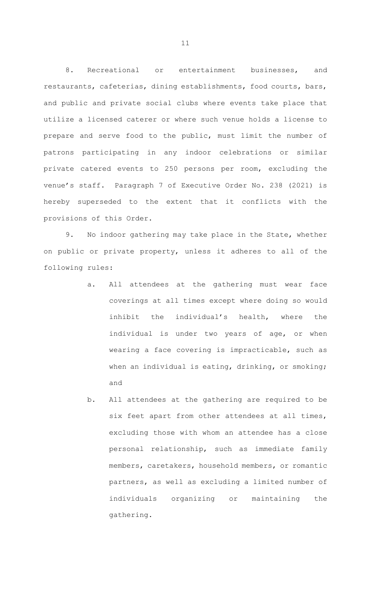8. Recreational or entertainment businesses, and restaurants, cafeterias, dining establishments, food courts, bars, and public and private social clubs where events take place that utilize a licensed caterer or where such venue holds a license to prepare and serve food to the public, must limit the number of patrons participating in any indoor celebrations or similar private catered events to 250 persons per room, excluding the venue's staff. Paragraph 7 of Executive Order No. 238 (2021) is hereby superseded to the extent that it conflicts with the provisions of this Order.

9. No indoor gathering may take place in the State, whether on public or private property, unless it adheres to all of the following rules:

- a. All attendees at the gathering must wear face coverings at all times except where doing so would inhibit the individual's health, where the individual is under two years of age, or when wearing a face covering is impracticable, such as when an individual is eating, drinking, or smoking; and
- b. All attendees at the gathering are required to be six feet apart from other attendees at all times, excluding those with whom an attendee has a close personal relationship, such as immediate family members, caretakers, household members, or romantic partners, as well as excluding a limited number of individuals organizing or maintaining the gathering.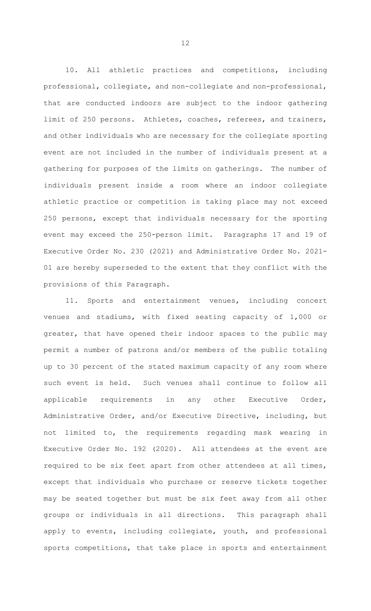10. All athletic practices and competitions, including professional, collegiate, and non-collegiate and non-professional, that are conducted indoors are subject to the indoor gathering limit of 250 persons. Athletes, coaches, referees, and trainers, and other individuals who are necessary for the collegiate sporting event are not included in the number of individuals present at a gathering for purposes of the limits on gatherings. The number of individuals present inside a room where an indoor collegiate athletic practice or competition is taking place may not exceed 250 persons, except that individuals necessary for the sporting event may exceed the 250-person limit. Paragraphs 17 and 19 of Executive Order No. 230 (2021) and Administrative Order No. 2021- 01 are hereby superseded to the extent that they conflict with the provisions of this Paragraph.

11. Sports and entertainment venues, including concert venues and stadiums, with fixed seating capacity of 1,000 or greater, that have opened their indoor spaces to the public may permit a number of patrons and/or members of the public totaling up to 30 percent of the stated maximum capacity of any room where such event is held. Such venues shall continue to follow all applicable requirements in any other Executive Order, Administrative Order, and/or Executive Directive, including, but not limited to, the requirements regarding mask wearing in Executive Order No. 192 (2020). All attendees at the event are required to be six feet apart from other attendees at all times, except that individuals who purchase or reserve tickets together may be seated together but must be six feet away from all other groups or individuals in all directions. This paragraph shall apply to events, including collegiate, youth, and professional sports competitions, that take place in sports and entertainment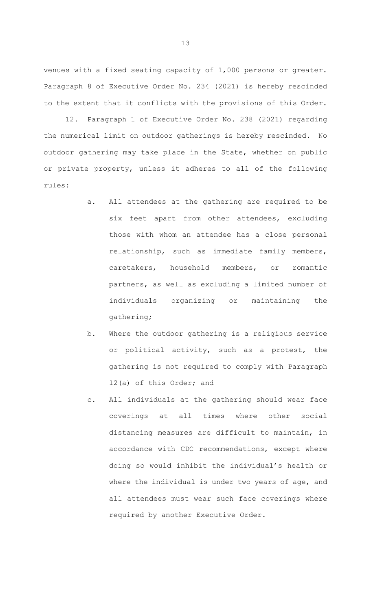venues with a fixed seating capacity of 1,000 persons or greater. Paragraph 8 of Executive Order No. 234 (2021) is hereby rescinded to the extent that it conflicts with the provisions of this Order.

12. Paragraph 1 of Executive Order No. 238 (2021) regarding the numerical limit on outdoor gatherings is hereby rescinded. No outdoor gathering may take place in the State, whether on public or private property, unless it adheres to all of the following rules:

- a. All attendees at the gathering are required to be six feet apart from other attendees, excluding those with whom an attendee has a close personal relationship, such as immediate family members, caretakers, household members, or romantic partners, as well as excluding a limited number of individuals organizing or maintaining the gathering;
- b. Where the outdoor gathering is a religious service or political activity, such as a protest, the gathering is not required to comply with Paragraph 12(a) of this Order; and
- c. All individuals at the gathering should wear face coverings at all times where other social distancing measures are difficult to maintain, in accordance with CDC recommendations, except where doing so would inhibit the individual's health or where the individual is under two years of age, and all attendees must wear such face coverings where required by another Executive Order.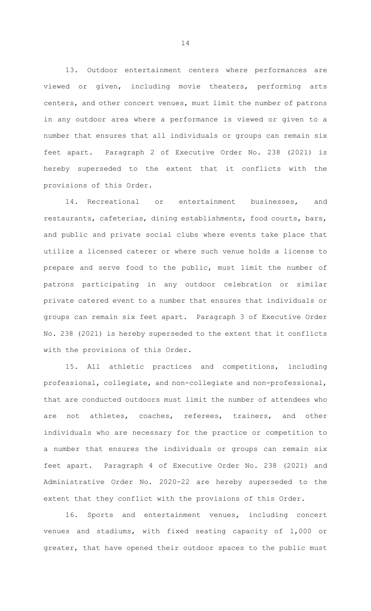13. Outdoor entertainment centers where performances are viewed or given, including movie theaters, performing arts centers, and other concert venues, must limit the number of patrons in any outdoor area where a performance is viewed or given to a number that ensures that all individuals or groups can remain six feet apart. Paragraph 2 of Executive Order No. 238 (2021) is hereby superseded to the extent that it conflicts with the provisions of this Order.

14. Recreational or entertainment businesses, and restaurants, cafeterias, dining establishments, food courts, bars, and public and private social clubs where events take place that utilize a licensed caterer or where such venue holds a license to prepare and serve food to the public, must limit the number of patrons participating in any outdoor celebration or similar private catered event to a number that ensures that individuals or groups can remain six feet apart. Paragraph 3 of Executive Order No. 238 (2021) is hereby superseded to the extent that it conflicts with the provisions of this Order.

15. All athletic practices and competitions, including professional, collegiate, and non-collegiate and non-professional, that are conducted outdoors must limit the number of attendees who are not athletes, coaches, referees, trainers, and other individuals who are necessary for the practice or competition to a number that ensures the individuals or groups can remain six feet apart. Paragraph 4 of Executive Order No. 238 (2021) and Administrative Order No. 2020-22 are hereby superseded to the extent that they conflict with the provisions of this Order.

16. Sports and entertainment venues, including concert venues and stadiums, with fixed seating capacity of 1,000 or greater, that have opened their outdoor spaces to the public must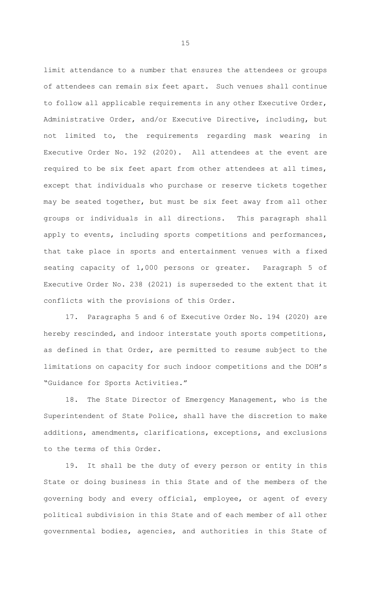limit attendance to a number that ensures the attendees or groups of attendees can remain six feet apart. Such venues shall continue to follow all applicable requirements in any other Executive Order, Administrative Order, and/or Executive Directive, including, but not limited to, the requirements regarding mask wearing in Executive Order No. 192 (2020). All attendees at the event are required to be six feet apart from other attendees at all times, except that individuals who purchase or reserve tickets together may be seated together, but must be six feet away from all other groups or individuals in all directions. This paragraph shall apply to events, including sports competitions and performances, that take place in sports and entertainment venues with a fixed seating capacity of 1,000 persons or greater. Paragraph 5 of Executive Order No. 238 (2021) is superseded to the extent that it conflicts with the provisions of this Order.

17. Paragraphs 5 and 6 of Executive Order No. 194 (2020) are hereby rescinded, and indoor interstate youth sports competitions, as defined in that Order, are permitted to resume subject to the limitations on capacity for such indoor competitions and the DOH's "Guidance for Sports Activities."

18. The State Director of Emergency Management, who is the Superintendent of State Police, shall have the discretion to make additions, amendments, clarifications, exceptions, and exclusions to the terms of this Order.

19. It shall be the duty of every person or entity in this State or doing business in this State and of the members of the governing body and every official, employee, or agent of every political subdivision in this State and of each member of all other governmental bodies, agencies, and authorities in this State of